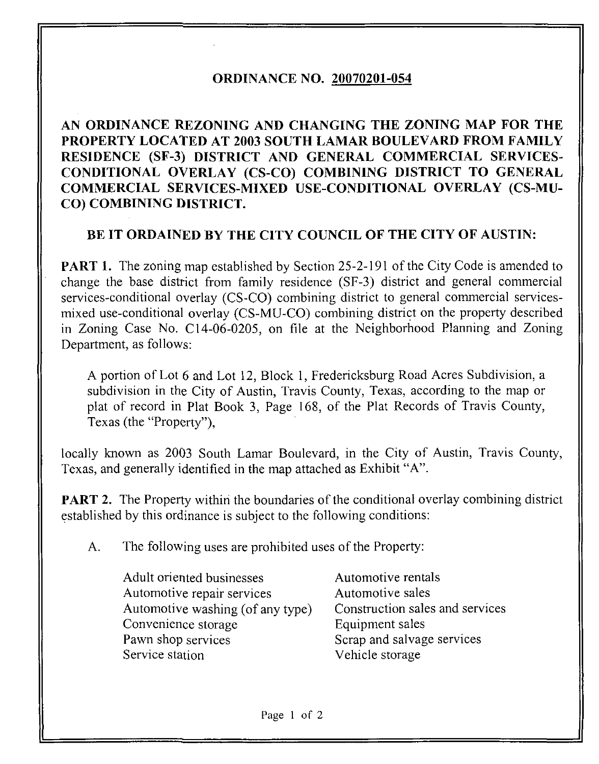## ORDINANCE NO. 20070201-054

AN ORDINANCE REZONING AND CHANGING THE ZONING MAP FOR THE PROPERTY LOCATED AT 2003 SOUTH LAMAR BOULEVARD FROM FAMILY RESIDENCE (SF-3) DISTRICT AND GENERAL COMMERCIAL SERVICES-CONDITIONAL OVERLAY (CS-CO) COMBINING DISTRICT TO GENERAL COMMERCIAL SERVICES-MIXED USE-CONDITIONAL OVERLAY (CS-MU-CO) COMBINING DISTRICT.

## BE IT ORDAINED BY THE CITY COUNCIL OF THE CITY OF AUSTIN:

**PART 1.** The zoning map established by Section 25-2-191 of the City Code is amended to change the base district from family residence (SF-3) district and general commercial services-conditional overlay (CS-CO) combining district to general commercial servicesmixed use-conditional overlay (CS-MU-CO) combining district on the property described in Zoning Case No. C14-06-0205, on file at the Neighborhood Planning and Zoning Department, as follows:

A portion of Lot 6 and Lot 12, Block 1, Fredericksburg Road Acres Subdivision, a subdivision in the City of Austin, Travis County, Texas, according to the map or plat of record in Plat Book 3, Page 168, of the Plat Records of Travis County, Texas (the "Property"),

locally known as 2003 South Lamar Boulevard, in the City of Austin, Travis County, Texas, and generally identified in the map attached as Exhibit "A".

**PART 2.** The Property within the boundaries of the conditional overlay combining district established by this ordinance is subject to the following conditions:

A. The following uses are prohibited uses of the Property:

Adult oriented businesses Automotive rentals Automotive repair services Automotive sales Automotive washing (of any type) Construction sales and services Convenience storage Equipment sales Pawn shop services Scrap and salvage services Service station Vehicle storage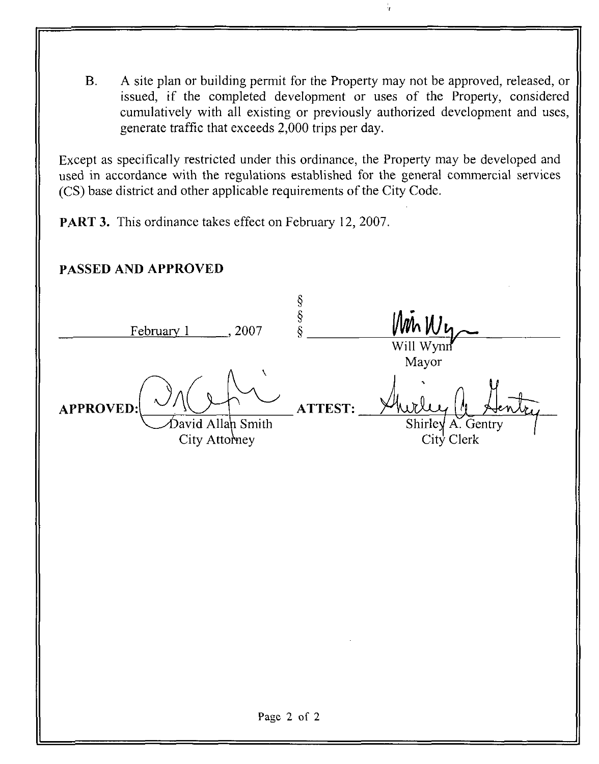B. A site plan or building permit for the Property may not be approved, released, or issued, if the completed development or uses of the Property, considered cumulatively with all existing or previously authorized development and uses, generate traffic that exceeds 2,000 trips per day.

Except as specifically restricted under this ordinance, the Property may be developed and used in accordance with the regulations established for the general commercial services (CS) base district and other applicable requirements of the City Code.

PART 3. This ordinance takes effect on February 12, 2007.

## PASSED AND APPROVED

§<br>§<br>§ February 1 . 2007 Will Wynn Mayor APPROVED: ATTEST: >avid Allah Smith Shirley A. Gentry City Attorney City Clerk